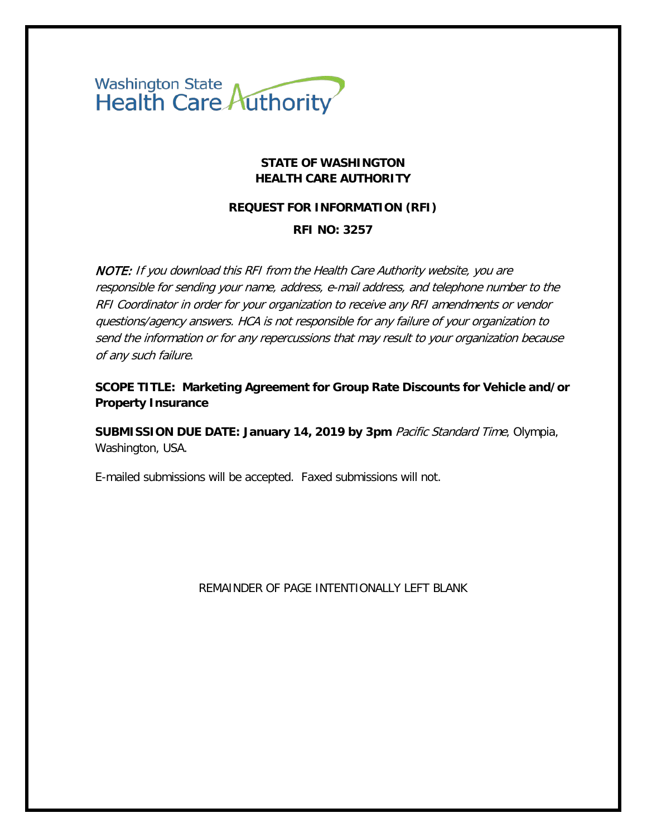

### **STATE OF WASHINGTON HEALTH CARE AUTHORITY**

#### **REQUEST FOR INFORMATION (RFI)**

#### **RFI NO: 3257**

NOTE: If you download this RFI from the Health Care Authority website, you are responsible for sending your name, address, e-mail address, and telephone number to the RFI Coordinator in order for your organization to receive any RFI amendments or vendor questions/agency answers. HCA is not responsible for any failure of your organization to send the information or for any repercussions that may result to your organization because of any such failure.

**SCOPE TITLE: Marketing Agreement for Group Rate Discounts for Vehicle and/or Property Insurance**

**SUBMISSION DUE DATE: January 14, 2019 by 3pm** Pacific Standard Time, Olympia, Washington, USA.

E-mailed submissions will be accepted. Faxed submissions will not.

REMAINDER OF PAGE INTENTIONALLY LEFT BLANK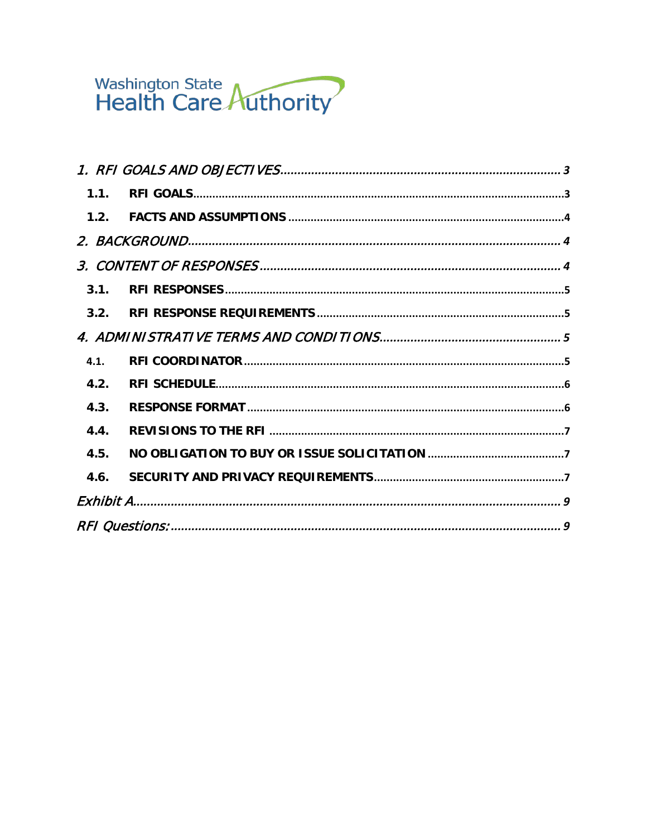# Washington State<br>Health Care Authority

| 1.1.             |  |  |  |
|------------------|--|--|--|
| 1.2 <sub>1</sub> |  |  |  |
|                  |  |  |  |
|                  |  |  |  |
| 3.1.             |  |  |  |
| 3.2.             |  |  |  |
|                  |  |  |  |
| 4.1.             |  |  |  |
| 4.2.             |  |  |  |
| 4.3.             |  |  |  |
| 4.4.             |  |  |  |
| 4.5.             |  |  |  |
| 4.6.             |  |  |  |
|                  |  |  |  |
|                  |  |  |  |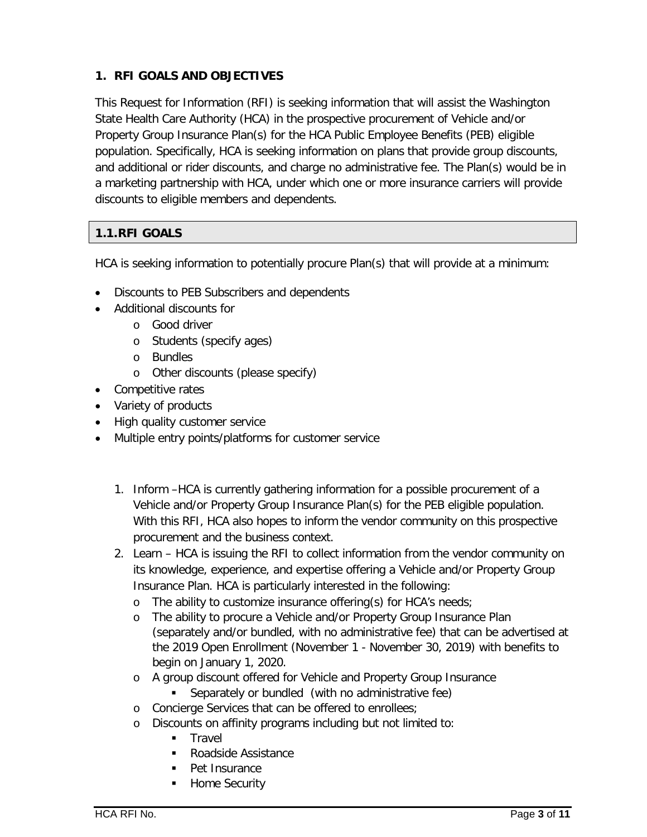# <span id="page-2-0"></span>**1. RFI GOALS AND OBJECTIVES**

This Request for Information (RFI) is seeking information that will assist the Washington State Health Care Authority (HCA) in the prospective procurement of Vehicle and/or Property Group Insurance Plan(s) for the HCA Public Employee Benefits (PEB) eligible population. Specifically, HCA is seeking information on plans that provide group discounts, and additional or rider discounts, and charge no administrative fee. The Plan(s) would be in a marketing partnership with HCA, under which one or more insurance carriers will provide discounts to eligible members and dependents.

# <span id="page-2-1"></span>**1.1.RFI GOALS**

HCA is seeking information to potentially procure Plan(s) that will provide at a minimum:

- Discounts to PEB Subscribers and dependents
- Additional discounts for
	- o Good driver
	- o Students (specify ages)
	- o Bundles
	- o Other discounts (please specify)
- Competitive rates
- Variety of products
- High quality customer service
- Multiple entry points/platforms for customer service
	- 1. Inform –HCA is currently gathering information for a possible procurement of a Vehicle and/or Property Group Insurance Plan(s) for the PEB eligible population. With this RFI, HCA also hopes to inform the vendor community on this prospective procurement and the business context.
	- 2. Learn HCA is issuing the RFI to collect information from the vendor community on its knowledge, experience, and expertise offering a Vehicle and/or Property Group Insurance Plan. HCA is particularly interested in the following:
		- o The ability to customize insurance offering(s) for HCA's needs;
		- o The ability to procure a Vehicle and/or Property Group Insurance Plan (separately and/or bundled, with no administrative fee) that can be advertised at the 2019 Open Enrollment (November 1 - November 30, 2019) with benefits to begin on January 1, 2020.
		- o A group discount offered for Vehicle and Property Group Insurance
			- **Separately or bundled (with no administrative fee)**
		- o Concierge Services that can be offered to enrollees;
		- o Discounts on affinity programs including but not limited to:
			- **Travel**
			- Roadside Assistance
			- Pet Insurance
			- Home Security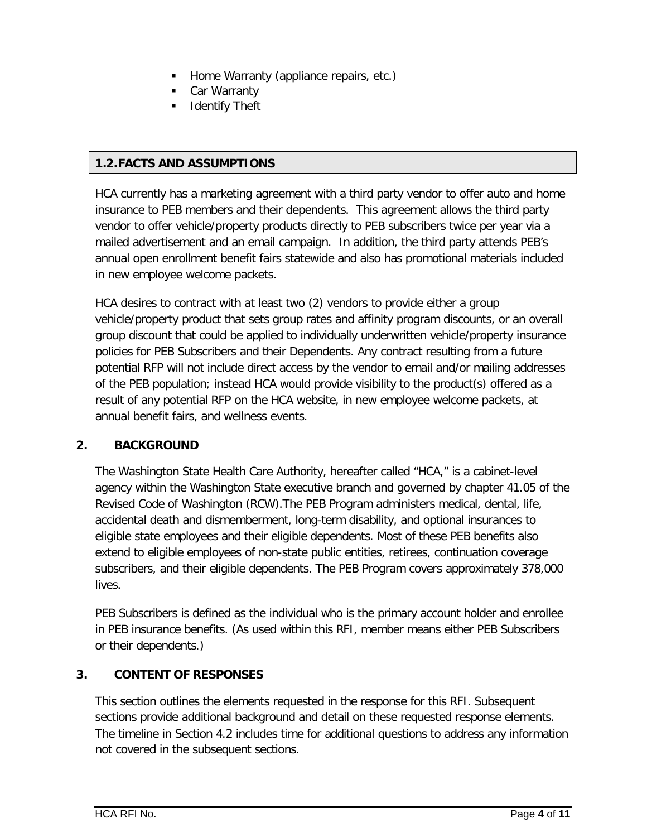- Home Warranty (appliance repairs, etc.)
- Car Warranty
- Identify Theft

## <span id="page-3-0"></span>**1.2.FACTS AND ASSUMPTIONS**

HCA currently has a marketing agreement with a third party vendor to offer auto and home insurance to PEB members and their dependents. This agreement allows the third party vendor to offer vehicle/property products directly to PEB subscribers twice per year via a mailed advertisement and an email campaign. In addition, the third party attends PEB's annual open enrollment benefit fairs statewide and also has promotional materials included in new employee welcome packets.

HCA desires to contract with at least two (2) vendors to provide either a group vehicle/property product that sets group rates and affinity program discounts, or an overall group discount that could be applied to individually underwritten vehicle/property insurance policies for PEB Subscribers and their Dependents. Any contract resulting from a future potential RFP will not include direct access by the vendor to email and/or mailing addresses of the PEB population; instead HCA would provide visibility to the product(s) offered as a result of any potential RFP on the HCA website, in new employee welcome packets, at annual benefit fairs, and wellness events.

## <span id="page-3-1"></span>**2. BACKGROUND**

The Washington State Health Care Authority, hereafter called "HCA," is a cabinet-level agency within the Washington State executive branch and governed by chapter 41.05 of the Revised Code of Washington (RCW).The PEB Program administers medical, dental, life, accidental death and dismemberment, long-term disability, and optional insurances to eligible state employees and their eligible dependents. Most of these PEB benefits also extend to eligible employees of non-state public entities, retirees, continuation coverage subscribers, and their eligible dependents. The PEB Program covers approximately 378,000 lives.

PEB Subscribers is defined as the individual who is the primary account holder and enrollee in PEB insurance benefits. (As used within this RFI, member means either PEB Subscribers or their dependents.)

# <span id="page-3-2"></span>**3. CONTENT OF RESPONSES**

This section outlines the elements requested in the response for this RFI. Subsequent sections provide additional background and detail on these requested response elements. The timeline in Section [4.2](#page-5-0) includes time for additional questions to address any information not covered in the subsequent sections.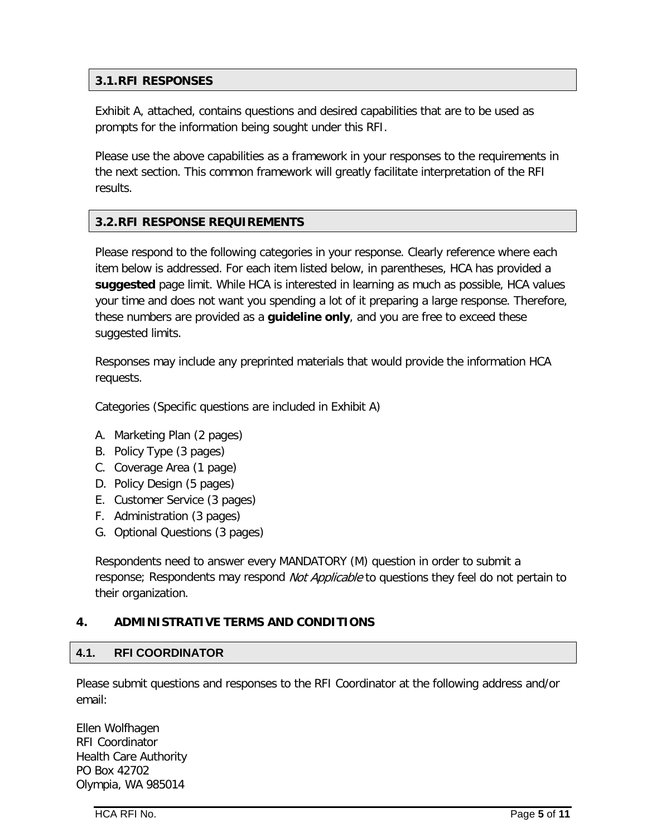# <span id="page-4-0"></span>**3.1.RFI RESPONSES**

Exhibit A, attached, contains questions and desired capabilities that are to be used as prompts for the information being sought under this RFI.

Please use the above capabilities as a framework in your responses to the requirements in the next section. This common framework will greatly facilitate interpretation of the RFI results.

# <span id="page-4-1"></span>**3.2.RFI RESPONSE REQUIREMENTS**

Please respond to the following categories in your response. Clearly reference where each item below is addressed. For each item listed below, in parentheses, HCA has provided a **suggested** page limit. While HCA is interested in learning as much as possible, HCA values your time and does not want you spending a lot of it preparing a large response. Therefore, these numbers are provided as a **guideline only**, and you are free to exceed these suggested limits.

Responses may include any preprinted materials that would provide the information HCA requests.

Categories (Specific questions are included in Exhibit A)

- A. Marketing Plan (2 pages)
- B. Policy Type (3 pages)
- C. Coverage Area (1 page)
- D. Policy Design (5 pages)
- E. Customer Service (3 pages)
- F. Administration (3 pages)
- G. Optional Questions (3 pages)

Respondents need to answer every MANDATORY (M) question in order to submit a response; Respondents may respond Not Applicable to questions they feel do not pertain to their organization.

## <span id="page-4-2"></span>**4. ADMINISTRATIVE TERMS AND CONDITIONS**

#### <span id="page-4-3"></span>**4.1. RFI COORDINATOR**

Please submit questions and responses to the RFI Coordinator at the following address and/or email:

Ellen Wolfhagen RFI Coordinator Health Care Authority PO Box 42702 Olympia, WA 985014

HCA RFI No. Page **5** of **11**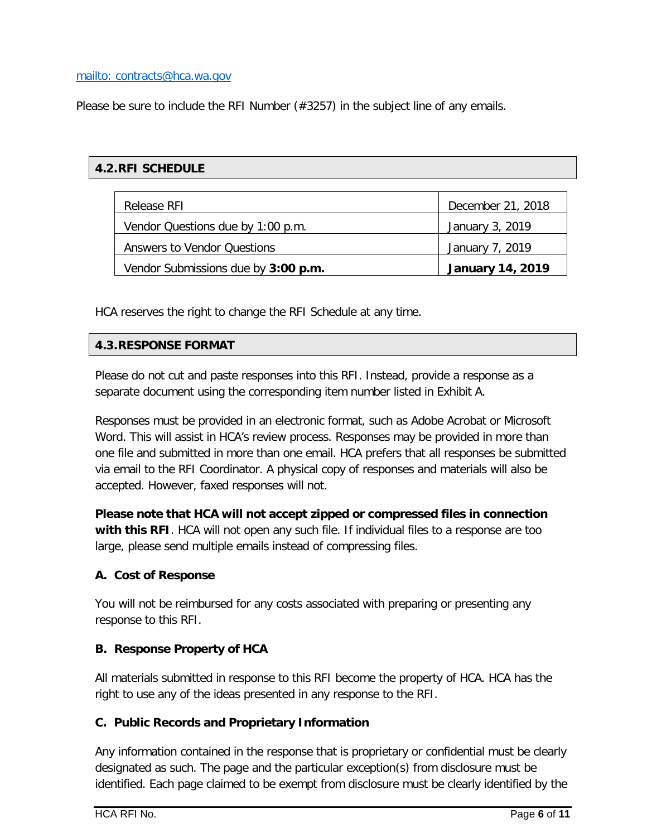#### [mailto: contracts@hca.wa.gov](mailto:contracts@hca.wa.gov)

Please be sure to include the RFI Number (#3257) in the subject line of any emails.

# <span id="page-5-0"></span>**4.2.RFI SCHEDULE**

| Release RFL                         | December 21, 2018       |
|-------------------------------------|-------------------------|
| Vendor Questions due by 1:00 p.m.   | January 3, 2019         |
| Answers to Vendor Questions         | January 7, 2019         |
| Vendor Submissions due by 3:00 p.m. | <b>January 14, 2019</b> |

HCA reserves the right to change the RFI Schedule at any time.

## <span id="page-5-1"></span>**4.3.RESPONSE FORMAT**

Please do not cut and paste responses into this RFI. Instead, provide a response as a separate document using the corresponding item number listed in Exhibit A.

Responses must be provided in an electronic format, such as Adobe Acrobat or Microsoft Word. This will assist in HCA's review process. Responses may be provided in more than one file and submitted in more than one email. HCA prefers that all responses be submitted via email to the RFI Coordinator. A physical copy of responses and materials will also be accepted. However, faxed responses will not.

**Please note that HCA will not accept zipped or compressed files in connection with this RFI**. HCA will not open any such file. If individual files to a response are too large, please send multiple emails instead of compressing files.

## **A. Cost of Response**

You will not be reimbursed for any costs associated with preparing or presenting any response to this RFI.

## **B. Response Property of HCA**

All materials submitted in response to this RFI become the property of HCA. HCA has the right to use any of the ideas presented in any response to the RFI.

## **C. Public Records and Proprietary Information**

Any information contained in the response that is proprietary or confidential must be clearly designated as such. The page and the particular exception(s) from disclosure must be identified. Each page claimed to be exempt from disclosure must be clearly identified by the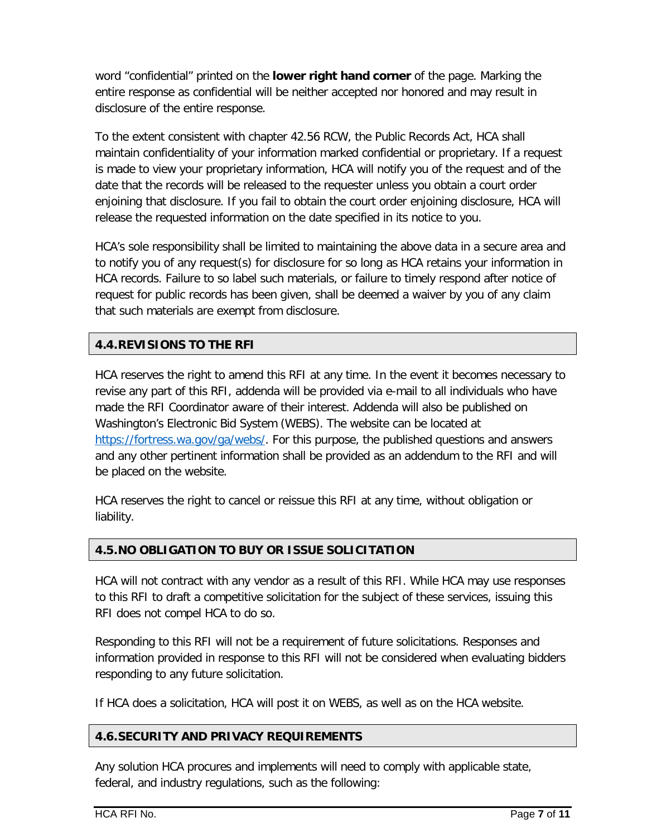word "confidential" printed on the **lower right hand corner** of the page. Marking the entire response as confidential will be neither accepted nor honored and may result in disclosure of the entire response.

To the extent consistent with chapter 42.56 RCW, the Public Records Act, HCA shall maintain confidentiality of your information marked confidential or proprietary. If a request is made to view your proprietary information, HCA will notify you of the request and of the date that the records will be released to the requester unless you obtain a court order enjoining that disclosure. If you fail to obtain the court order enjoining disclosure, HCA will release the requested information on the date specified in its notice to you.

HCA's sole responsibility shall be limited to maintaining the above data in a secure area and to notify you of any request(s) for disclosure for so long as HCA retains your information in HCA records. Failure to so label such materials, or failure to timely respond after notice of request for public records has been given, shall be deemed a waiver by you of any claim that such materials are exempt from disclosure.

# <span id="page-6-0"></span>**4.4.REVISIONS TO THE RFI**

HCA reserves the right to amend this RFI at any time. In the event it becomes necessary to revise any part of this RFI, addenda will be provided via e-mail to all individuals who have made the RFI Coordinator aware of their interest. Addenda will also be published on Washington's Electronic Bid System (WEBS). The website can be located at [https://fortress.wa.gov/ga/webs/.](https://fortress.wa.gov/ga/webs/) For this purpose, the published questions and answers and any other pertinent information shall be provided as an addendum to the RFI and will be placed on the website.

HCA reserves the right to cancel or reissue this RFI at any time, without obligation or liability.

# <span id="page-6-1"></span>**4.5.NO OBLIGATION TO BUY OR ISSUE SOLICITATION**

HCA will not contract with any vendor as a result of this RFI. While HCA may use responses to this RFI to draft a competitive solicitation for the subject of these services, issuing this RFI does not compel HCA to do so.

Responding to this RFI will not be a requirement of future solicitations. Responses and information provided in response to this RFI will not be considered when evaluating bidders responding to any future solicitation.

If HCA does a solicitation, HCA will post it on WEBS, as well as on the HCA website.

# <span id="page-6-2"></span>**4.6.SECURITY AND PRIVACY REQUIREMENTS**

Any solution HCA procures and implements will need to comply with applicable state, federal, and industry regulations, such as the following: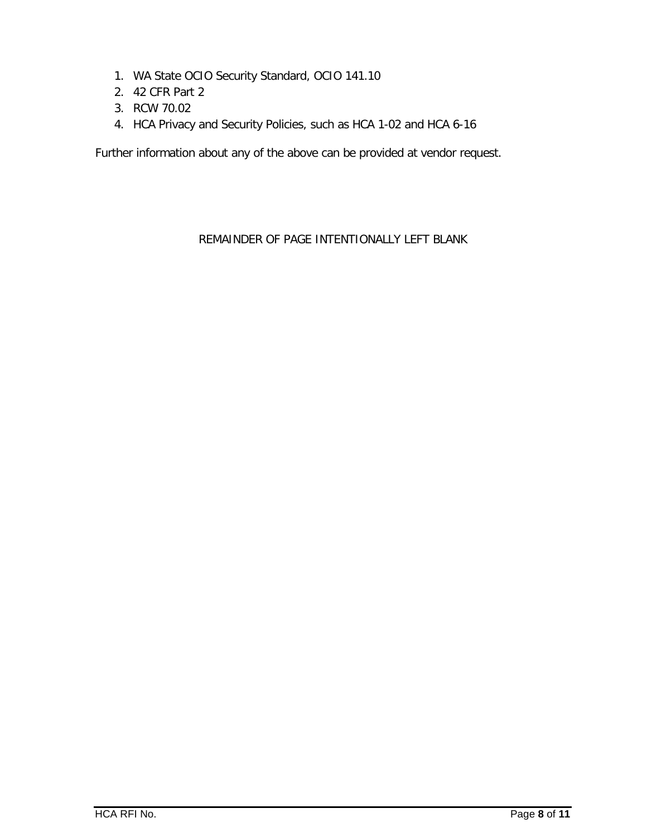- 1. WA State OCIO Security Standard, OCIO 141.10
- 2. 42 CFR Part 2
- 3. RCW 70.02
- 4. HCA Privacy and Security Policies, such as HCA 1-02 and HCA 6-16

Further information about any of the above can be provided at vendor request.

# REMAINDER OF PAGE INTENTIONALLY LEFT BLANK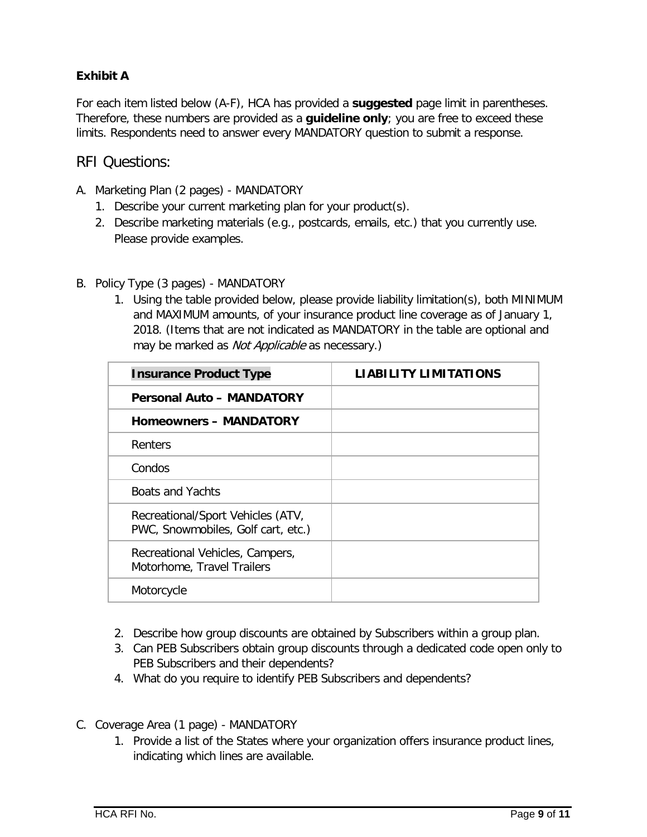# <span id="page-8-0"></span>**Exhibit A**

For each item listed below (A-F), HCA has provided a **suggested** page limit in parentheses. Therefore, these numbers are provided as a **guideline only**; you are free to exceed these limits. Respondents need to answer every MANDATORY question to submit a response.

# <span id="page-8-1"></span>RFI Questions:

- A. Marketing Plan (2 pages) MANDATORY
	- 1. Describe your current marketing plan for your product(s).
	- 2. Describe marketing materials (e.g., postcards, emails, etc.) that you currently use. Please provide examples.
- B. Policy Type (3 pages) MANDATORY
	- 1. Using the table provided below, please provide liability limitation(s), both MINIMUM and MAXIMUM amounts, of your insurance product line coverage as of January 1, 2018. (Items that are not indicated as MANDATORY in the table are optional and may be marked as *Not Applicable* as necessary.)

| <b>Insurance Product Type</b>                                           | <b>LIABILITY LIMITATIONS</b> |
|-------------------------------------------------------------------------|------------------------------|
| <b>Personal Auto - MANDATORY</b>                                        |                              |
| <b>Homeowners - MANDATORY</b>                                           |                              |
| Renters                                                                 |                              |
| Condos                                                                  |                              |
| <b>Boats and Yachts</b>                                                 |                              |
| Recreational/Sport Vehicles (ATV,<br>PWC, Snowmobiles, Golf cart, etc.) |                              |
| Recreational Vehicles, Campers,<br>Motorhome, Travel Trailers           |                              |
| Motorcycle                                                              |                              |

- 2. Describe how group discounts are obtained by Subscribers within a group plan.
- 3. Can PEB Subscribers obtain group discounts through a dedicated code open only to PEB Subscribers and their dependents?
- 4. What do you require to identify PEB Subscribers and dependents?
- C. Coverage Area (1 page) MANDATORY
	- 1. Provide a list of the States where your organization offers insurance product lines, indicating which lines are available.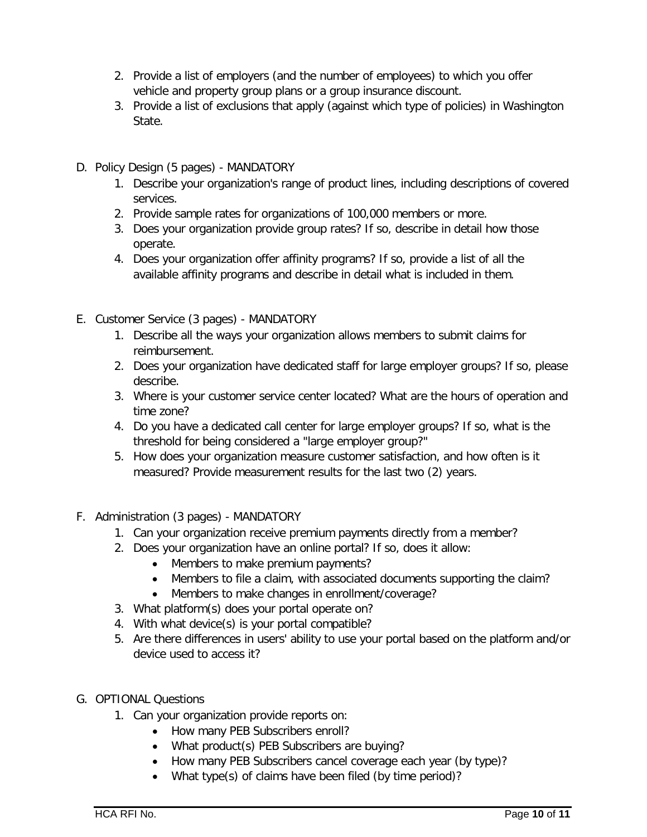- 2. Provide a list of employers (and the number of employees) to which you offer vehicle and property group plans or a group insurance discount.
- 3. Provide a list of exclusions that apply (against which type of policies) in Washington State.
- D. Policy Design (5 pages) MANDATORY
	- 1. Describe your organization's range of product lines, including descriptions of covered services.
	- 2. Provide sample rates for organizations of 100,000 members or more.
	- 3. Does your organization provide group rates? If so, describe in detail how those operate.
	- 4. Does your organization offer affinity programs? If so, provide a list of all the available affinity programs and describe in detail what is included in them.
- E. Customer Service (3 pages) MANDATORY
	- 1. Describe all the ways your organization allows members to submit claims for reimbursement.
	- 2. Does your organization have dedicated staff for large employer groups? If so, please describe.
	- 3. Where is your customer service center located? What are the hours of operation and time zone?
	- 4. Do you have a dedicated call center for large employer groups? If so, what is the threshold for being considered a "large employer group?"
	- 5. How does your organization measure customer satisfaction, and how often is it measured? Provide measurement results for the last two (2) years.
- F. Administration (3 pages) MANDATORY
	- 1. Can your organization receive premium payments directly from a member?
	- 2. Does your organization have an online portal? If so, does it allow:
		- Members to make premium payments?
		- Members to file a claim, with associated documents supporting the claim?
		- Members to make changes in enrollment/coverage?
	- 3. What platform(s) does your portal operate on?
	- 4. With what device(s) is your portal compatible?
	- 5. Are there differences in users' ability to use your portal based on the platform and/or device used to access it?
- G. OPTIONAL Questions
	- 1. Can your organization provide reports on:
		- How many PEB Subscribers enroll?
		- What product(s) PEB Subscribers are buying?
		- How many PEB Subscribers cancel coverage each year (by type)?
		- What type(s) of claims have been filed (by time period)?